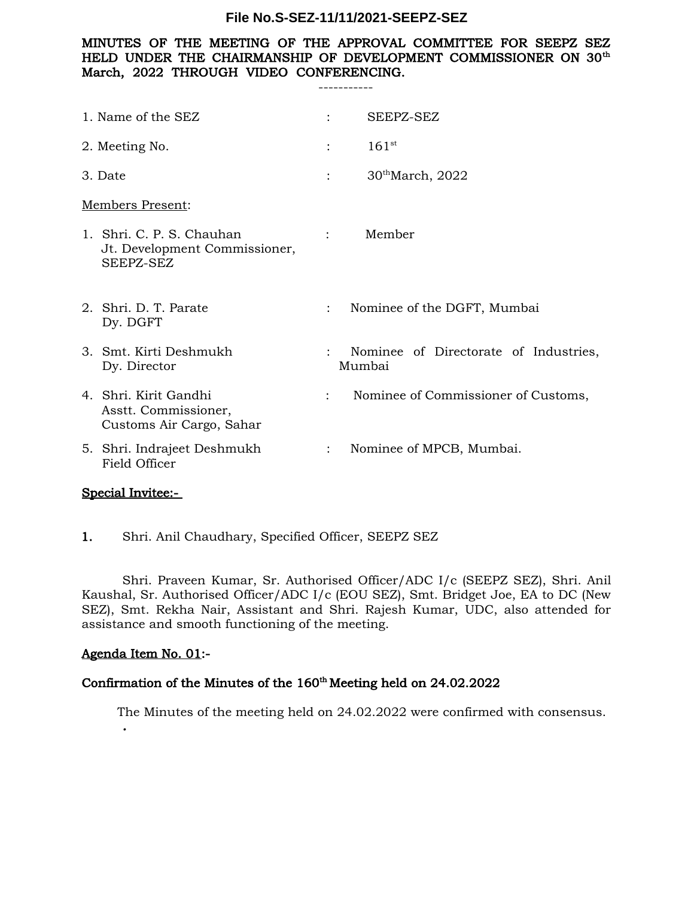## MINUTES OF THE MEETING OF THE APPROVAL COMMITTEE FOR SEEPZ SEZ HELD UNDER THE CHAIRMANSHIP OF DEVELOPMENT COMMISSIONER ON 30<sup>th</sup> March, 2022 THROUGH VIDEO CONFERENCING.

-----------

| 1. Name of the SEZ                                                        |                      | SEEPZ-SEZ                                       |
|---------------------------------------------------------------------------|----------------------|-------------------------------------------------|
| 2. Meeting No.                                                            | $\cdot$              | $161^{st}$                                      |
| 3. Date                                                                   | $\ddot{\phantom{0}}$ | $30^{\text{th}}$ March, 2022                    |
| Members Present:                                                          |                      |                                                 |
| 1. Shri. C. P. S. Chauhan<br>Jt. Development Commissioner,<br>SEEPZ-SEZ   |                      | Member<br>$\mathbf{1}$ and $\mathbf{1}$         |
| 2. Shri. D. T. Parate<br>Dy. DGFT                                         | $\ddot{\cdot}$       | Nominee of the DGFT, Mumbai                     |
| 3. Smt. Kirti Deshmukh<br>Dy. Director                                    |                      | Nominee of Directorate of Industries,<br>Mumbai |
| 4. Shri, Kirit Gandhi<br>Asstt. Commissioner,<br>Customs Air Cargo, Sahar | $\ddot{\phantom{a}}$ | Nominee of Commissioner of Customs,             |
| 5. Shri. Indrajeet Deshmukh<br>Field Officer                              | $\ddot{\cdot}$       | Nominee of MPCB, Mumbai.                        |
|                                                                           |                      |                                                 |

## Special Invitee:-

1. Shri. Anil Chaudhary, Specified Officer, SEEPZ SEZ

Shri. Praveen Kumar, Sr. Authorised Officer/ADC I/c (SEEPZ SEZ), Shri. Anil Kaushal, Sr. Authorised Officer/ADC I/c (EOU SEZ), Smt. Bridget Joe, EA to DC (New SEZ), Smt. Rekha Nair, Assistant and Shri. Rajesh Kumar, UDC, also attended for assistance and smooth functioning of the meeting.

## Agenda Item No. 01:-

*.*

# Confirmation of the Minutes of the 160<sup>th</sup> Meeting held on 24.02.2022

The Minutes of the meeting held on 24.02.2022 were confirmed with consensus.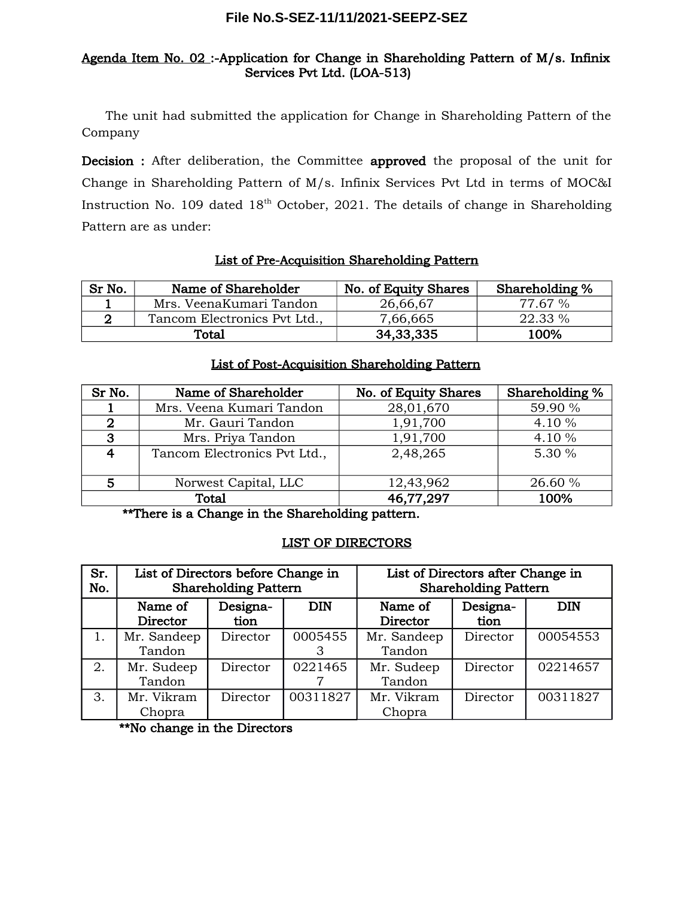# Agenda Item No. 02 :-Application for Change in Shareholding Pattern of M/s. Infinix Services Pvt Ltd. (LOA-513)

The unit had submitted the application for Change in Shareholding Pattern of the Company

Decision : After deliberation, the Committee approved the proposal of the unit for Change in Shareholding Pattern of M/s. Infinix Services Pvt Ltd in terms of MOC&I Instruction No. 109 dated 18<sup>th</sup> October, 2021. The details of change in Shareholding Pattern are as under:

# List of Pre-Acquisition Shareholding Pattern

| Sr No. | Name of Shareholder          | No. of Equity Shares | Shareholding % |
|--------|------------------------------|----------------------|----------------|
|        | Mrs. VeenaKumari Tandon      | 26,66,67             | 77.67 %        |
|        | Tancom Electronics Pvt Ltd., | 7,66,665             | 22.33 %        |
| Total  |                              | 34, 33, 335          | 100%           |

## List of Post-Acquisition Shareholding Pattern

| Sr No.                  | Name of Shareholder          | No. of Equity Shares | Shareholding % |
|-------------------------|------------------------------|----------------------|----------------|
|                         | Mrs. Veena Kumari Tandon     | 28,01,670            | 59.90 %        |
| 2                       | Mr. Gauri Tandon             | 1,91,700             | 4.10 %         |
| 3                       | Mrs. Priya Tandon            | 1,91,700             | 4.10 %         |
| $\overline{\mathbf{4}}$ | Tancom Electronics Pvt Ltd., | 2,48,265             | 5.30 %         |
|                         |                              |                      |                |
| 5                       | Norwest Capital, LLC         | 12,43,962            | 26.60 %        |
|                         | <b>Total</b>                 | 46,77,297            | 100%           |

\*\*There is a Change in the Shareholding pattern.

## LIST OF DIRECTORS

| Sr.<br>No. | List of Directors before Change in<br><b>Shareholding Pattern</b> |                  | List of Directors after Change in<br><b>Shareholding Pattern</b> |                       |                  |            |
|------------|-------------------------------------------------------------------|------------------|------------------------------------------------------------------|-----------------------|------------------|------------|
|            | Name of<br>Director                                               | Designa-<br>tion | <b>DIN</b>                                                       | Name of<br>Director   | Designa-<br>tion | <b>DIN</b> |
|            | Mr. Sandeep<br>Tandon                                             | Director         | 0005455                                                          | Mr. Sandeep<br>Tandon | Director         | 00054553   |
| 2.         | Mr. Sudeep<br>Tandon                                              | Director         | 0221465                                                          | Mr. Sudeep<br>Tandon  | Director         | 02214657   |
| 3.         | Mr. Vikram<br>Chopra                                              | Director         | 00311827                                                         | Mr. Vikram<br>Chopra  | Director         | 00311827   |

\*\*No change in the Directors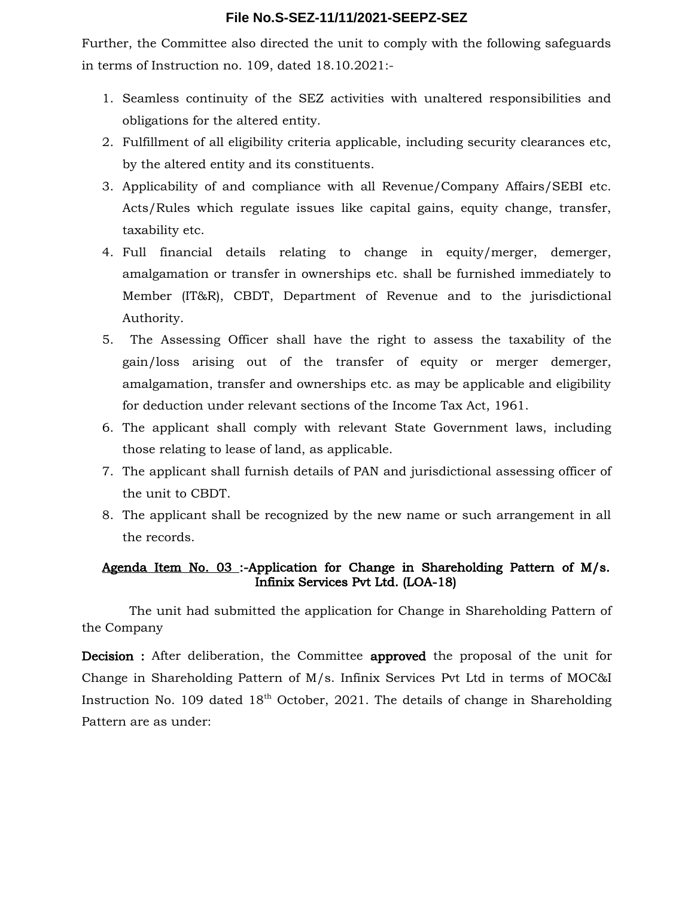Further, the Committee also directed the unit to comply with the following safeguards in terms of Instruction no. 109, dated 18.10.2021:-

- 1. Seamless continuity of the SEZ activities with unaltered responsibilities and obligations for the altered entity.
- 2. Fulfillment of all eligibility criteria applicable, including security clearances etc, by the altered entity and its constituents.
- 3. Applicability of and compliance with all Revenue/Company Affairs/SEBI etc. Acts/Rules which regulate issues like capital gains, equity change, transfer, taxability etc.
- 4. Full financial details relating to change in equity/merger, demerger, amalgamation or transfer in ownerships etc. shall be furnished immediately to Member (IT&R), CBDT, Department of Revenue and to the jurisdictional Authority.
- 5. The Assessing Officer shall have the right to assess the taxability of the gain/loss arising out of the transfer of equity or merger demerger, amalgamation, transfer and ownerships etc. as may be applicable and eligibility for deduction under relevant sections of the Income Tax Act, 1961.
- 6. The applicant shall comply with relevant State Government laws, including those relating to lease of land, as applicable.
- 7. The applicant shall furnish details of PAN and jurisdictional assessing officer of the unit to CBDT.
- 8. The applicant shall be recognized by the new name or such arrangement in all the records.

# Agenda Item No. 03 :-Application for Change in Shareholding Pattern of M/s. Infinix Services Pvt Ltd. (LOA-18)

The unit had submitted the application for Change in Shareholding Pattern of the Company

Decision : After deliberation, the Committee approved the proposal of the unit for Change in Shareholding Pattern of M/s. Infinix Services Pvt Ltd in terms of MOC&I Instruction No. 109 dated  $18<sup>th</sup>$  October, 2021. The details of change in Shareholding Pattern are as under: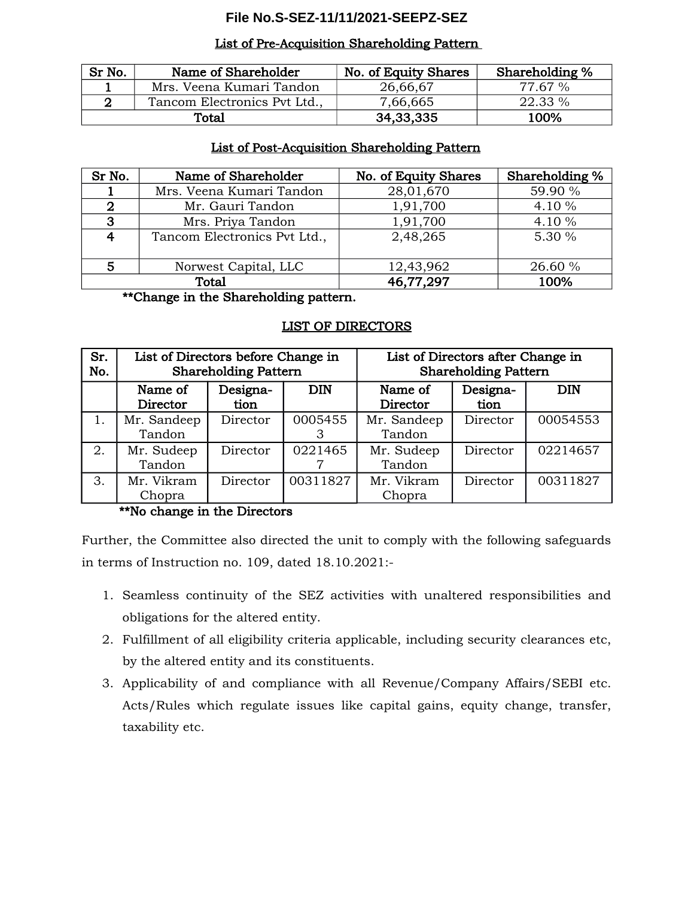#### List of Pre-Acquisition Shareholding Pattern

| Sr No. | Name of Shareholder          | No. of Equity Shares | Shareholding % |
|--------|------------------------------|----------------------|----------------|
|        | Mrs. Veena Kumari Tandon     | 26,66,67             | 77.67 %        |
|        | Tancom Electronics Pvt Ltd., | 7,66,665             | 22.33 %        |
| Total  |                              | 34, 33, 335          | 100%           |

#### List of Post-Acquisition Shareholding Pattern

| Sr No.                 | Name of Shareholder          | No. of Equity Shares | Shareholding % |
|------------------------|------------------------------|----------------------|----------------|
|                        | Mrs. Veena Kumari Tandon     | 28,01,670            | 59.90 %        |
| 2                      | Mr. Gauri Tandon             | 1,91,700             | 4.10 %         |
| 3                      | Mrs. Priya Tandon            | 1,91,700             | 4.10 %         |
| $\boldsymbol{\Lambda}$ | Tancom Electronics Pvt Ltd., | 2,48,265             | 5.30 %         |
|                        |                              |                      |                |
|                        | Norwest Capital, LLC         | 12,43,962            | 26.60 %        |
| Total                  |                              | 46,77,297            | 100%           |

#### \*\*Change in the Shareholding pattern.

#### LIST OF DIRECTORS

| Sr.<br>No. | List of Directors before Change in<br><b>Shareholding Pattern</b> |                  | List of Directors after Change in<br><b>Shareholding Pattern</b> |                       |                  |            |
|------------|-------------------------------------------------------------------|------------------|------------------------------------------------------------------|-----------------------|------------------|------------|
|            | Name of<br>Director                                               | Designa-<br>tion | <b>DIN</b>                                                       | Name of<br>Director   | Designa-<br>tion | <b>DIN</b> |
|            | Mr. Sandeep<br>Tandon                                             | Director         | 0005455                                                          | Mr. Sandeep<br>Tandon | Director         | 00054553   |
| 2.         | Mr. Sudeep<br>Tandon                                              | Director         | 0221465                                                          | Mr. Sudeep<br>Tandon  | Director         | 02214657   |
| 3.         | Mr. Vikram                                                        | Director         | 00311827                                                         | Mr. Vikram            | Director         | 00311827   |
|            | Chopra<br>. .<br>.                                                | - -              |                                                                  | Chopra                |                  |            |

## \*\*No change in the Directors

Further, the Committee also directed the unit to comply with the following safeguards in terms of Instruction no. 109, dated 18.10.2021:-

- 1. Seamless continuity of the SEZ activities with unaltered responsibilities and obligations for the altered entity.
- 2. Fulfillment of all eligibility criteria applicable, including security clearances etc, by the altered entity and its constituents.
- 3. Applicability of and compliance with all Revenue/Company Affairs/SEBI etc. Acts/Rules which regulate issues like capital gains, equity change, transfer, taxability etc.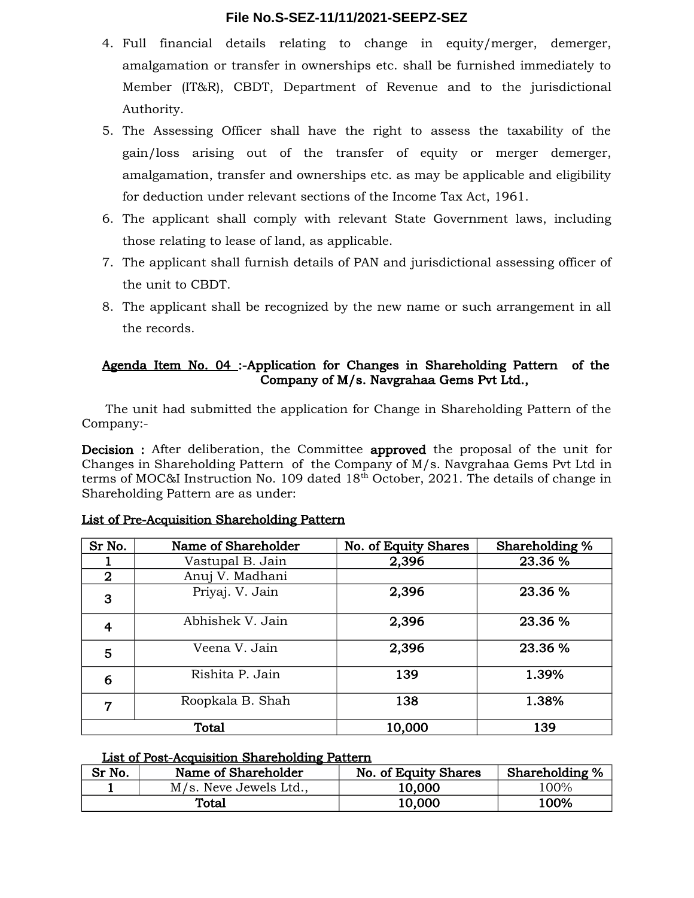- 4. Full financial details relating to change in equity/merger, demerger, amalgamation or transfer in ownerships etc. shall be furnished immediately to Member (IT&R), CBDT, Department of Revenue and to the jurisdictional Authority.
- 5. The Assessing Officer shall have the right to assess the taxability of the gain/loss arising out of the transfer of equity or merger demerger, amalgamation, transfer and ownerships etc. as may be applicable and eligibility for deduction under relevant sections of the Income Tax Act, 1961.
- 6. The applicant shall comply with relevant State Government laws, including those relating to lease of land, as applicable.
- 7. The applicant shall furnish details of PAN and jurisdictional assessing officer of the unit to CBDT.
- 8. The applicant shall be recognized by the new name or such arrangement in all the records.

# Agenda Item No. 04 :-Application for Changes in Shareholding Pattern of the Company of M/s. Navgrahaa Gems Pvt Ltd.,

The unit had submitted the application for Change in Shareholding Pattern of the Company:-

Decision : After deliberation, the Committee approved the proposal of the unit for Changes in Shareholding Pattern of the Company of M/s. Navgrahaa Gems Pvt Ltd in terms of MOC&I Instruction No. 109 dated 18<sup>th</sup> October, 2021. The details of change in Shareholding Pattern are as under:

| Sr No.         | Name of Shareholder | No. of Equity Shares | Shareholding % |
|----------------|---------------------|----------------------|----------------|
|                | Vastupal B. Jain    | 2,396                | 23.36 %        |
| $\overline{2}$ | Anuj V. Madhani     |                      |                |
| 3              | Priyaj. V. Jain     | 2,396                | 23.36 %        |
| 4              | Abhishek V. Jain    | 2,396                | 23.36 %        |
| 5              | Veena V. Jain       | 2,396                | 23.36 %        |
| 6              | Rishita P. Jain     | 139                  | 1.39%          |
| 7              | Roopkala B. Shah    | 138                  | 1.38%          |
|                | Total               | 10,000               | 139            |

# List of Pre-Acquisition Shareholding Pattern

#### List of Post-Acquisition Shareholding Pattern

| Sr No.       | Name of Shareholder    | No. of Equity Shares | Shareholding % |
|--------------|------------------------|----------------------|----------------|
|              | M/s. Neve Jewels Ltd., | 10,000               | 100%           |
| <b>Total</b> |                        | 10.000               | 100%           |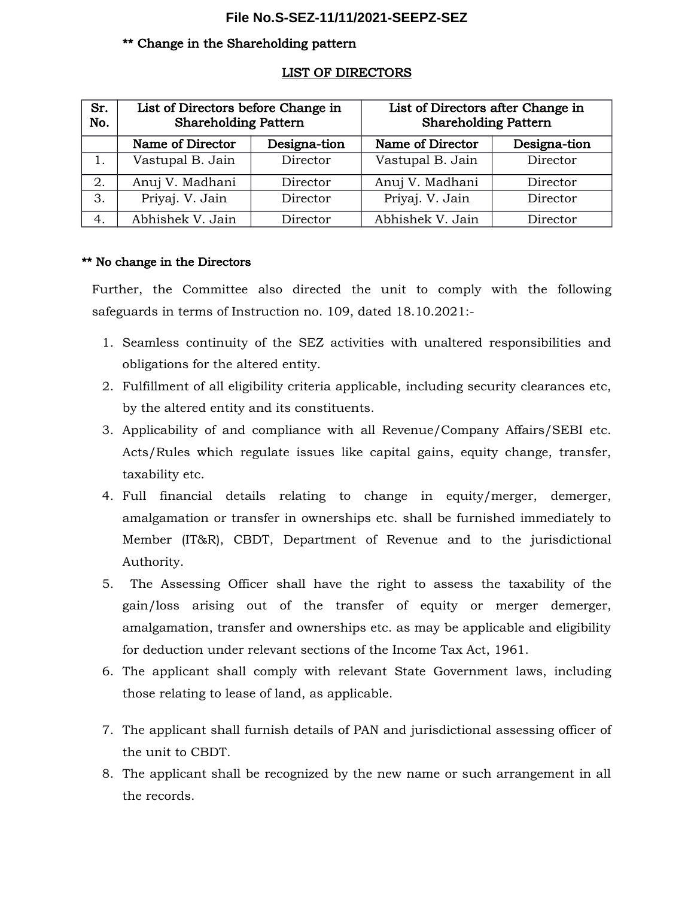#### \*\* Change in the Shareholding pattern

| Sr.<br>No. | List of Directors before Change in<br><b>Shareholding Pattern</b> |              | List of Directors after Change in<br><b>Shareholding Pattern</b> |              |
|------------|-------------------------------------------------------------------|--------------|------------------------------------------------------------------|--------------|
|            | Name of Director                                                  | Designa-tion | Name of Director                                                 | Designa-tion |
|            | Vastupal B. Jain                                                  | Director     | Vastupal B. Jain                                                 | Director     |
| 2.         | Anuj V. Madhani                                                   | Director     | Anuj V. Madhani                                                  | Director     |
| 3.         | Priyaj. V. Jain                                                   | Director     | Priyaj. V. Jain                                                  | Director     |
| 4.         | Abhishek V. Jain                                                  | Director     | Abhishek V. Jain                                                 | Director     |

#### LIST OF DIRECTORS

## \*\* No change in the Directors

Further, the Committee also directed the unit to comply with the following safeguards in terms of Instruction no. 109, dated 18.10.2021:-

- 1. Seamless continuity of the SEZ activities with unaltered responsibilities and obligations for the altered entity.
- 2. Fulfillment of all eligibility criteria applicable, including security clearances etc, by the altered entity and its constituents.
- 3. Applicability of and compliance with all Revenue/Company Affairs/SEBI etc. Acts/Rules which regulate issues like capital gains, equity change, transfer, taxability etc.
- 4. Full financial details relating to change in equity/merger, demerger, amalgamation or transfer in ownerships etc. shall be furnished immediately to Member (IT&R), CBDT, Department of Revenue and to the jurisdictional Authority.
- 5. The Assessing Officer shall have the right to assess the taxability of the gain/loss arising out of the transfer of equity or merger demerger, amalgamation, transfer and ownerships etc. as may be applicable and eligibility for deduction under relevant sections of the Income Tax Act, 1961.
- 6. The applicant shall comply with relevant State Government laws, including those relating to lease of land, as applicable.
- 7. The applicant shall furnish details of PAN and jurisdictional assessing officer of the unit to CBDT.
- 8. The applicant shall be recognized by the new name or such arrangement in all the records.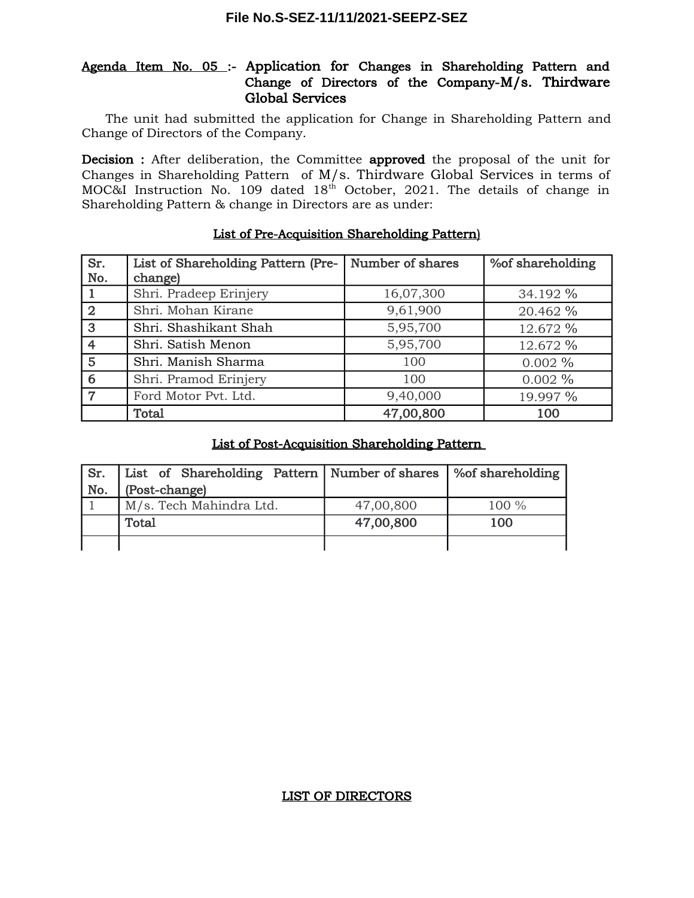# Agenda Item No. 05 :- Application for Changes in Shareholding Pattern and Change of Directors of the Company-M/s. Thirdware Global Services

The unit had submitted the application for Change in Shareholding Pattern and Change of Directors of the Company.

Decision : After deliberation, the Committee approved the proposal of the unit for Changes in Shareholding Pattern of M/s. Thirdware Global Services in terms of MOC&I Instruction No. 109 dated  $18<sup>th</sup>$  October, 2021. The details of change in Shareholding Pattern & change in Directors are as under:

| Sr.            | List of Shareholding Pattern (Pre- | Number of shares | % of shareholding |
|----------------|------------------------------------|------------------|-------------------|
| No.            | change)                            |                  |                   |
|                | Shri. Pradeep Erinjery             | 16,07,300        | 34.192 %          |
| $\overline{2}$ | Shri. Mohan Kirane                 | 9,61,900         | 20.462 %          |
| 3              | Shri. Shashikant Shah              | 5,95,700         | 12.672 %          |
| $\overline{4}$ | Shri. Satish Menon                 | 5,95,700         | 12.672 %          |
| 5              | Shri. Manish Sharma                | 100              | $0.002\%$         |
| 6              | Shri. Pramod Erinjery              | 100              | $0.002\%$         |
| 7              | Ford Motor Pvt. Ltd.               | 9,40,000         | 19.997 %          |
|                | Total                              | 47,00,800        | 100               |

# List of Pre-Acquisition Shareholding Pattern)

## List of Post-Acquisition Shareholding Pattern

| Sr. | List of Shareholding Pattern   Number of shares |           | │ ‰f shareholding |
|-----|-------------------------------------------------|-----------|-------------------|
| No. | (Post-change)                                   |           |                   |
|     | M/s. Tech Mahindra Ltd.                         | 47,00,800 | 100 %             |
|     | Total                                           | 47,00,800 | 100               |
|     |                                                 |           |                   |

## LIST OF DIRECTORS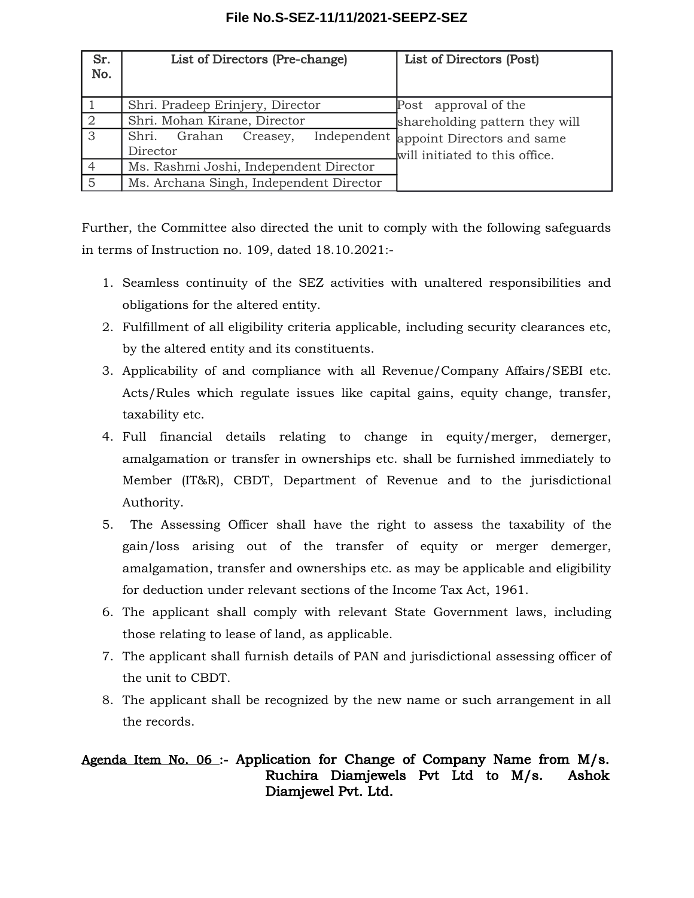| Sr.<br>No. | List of Directors (Pre-change)          | List of Directors (Post)               |  |  |
|------------|-----------------------------------------|----------------------------------------|--|--|
|            | Shri. Pradeep Erinjery, Director        | Post approval of the                   |  |  |
|            | Shri. Mohan Kirane, Director            | shareholding pattern they will         |  |  |
| 3          | Shri. Grahan<br>Creasey,                | Independent appoint Directors and same |  |  |
|            | Director                                | will initiated to this office.         |  |  |
|            | Ms. Rashmi Joshi, Independent Director  |                                        |  |  |
| 5          | Ms. Archana Singh, Independent Director |                                        |  |  |

Further, the Committee also directed the unit to comply with the following safeguards in terms of Instruction no. 109, dated 18.10.2021:-

- 1. Seamless continuity of the SEZ activities with unaltered responsibilities and obligations for the altered entity.
- 2. Fulfillment of all eligibility criteria applicable, including security clearances etc, by the altered entity and its constituents.
- 3. Applicability of and compliance with all Revenue/Company Affairs/SEBI etc. Acts/Rules which regulate issues like capital gains, equity change, transfer, taxability etc.
- 4. Full financial details relating to change in equity/merger, demerger, amalgamation or transfer in ownerships etc. shall be furnished immediately to Member (IT&R), CBDT, Department of Revenue and to the jurisdictional Authority.
- 5. The Assessing Officer shall have the right to assess the taxability of the gain/loss arising out of the transfer of equity or merger demerger, amalgamation, transfer and ownerships etc. as may be applicable and eligibility for deduction under relevant sections of the Income Tax Act, 1961.
- 6. The applicant shall comply with relevant State Government laws, including those relating to lease of land, as applicable.
- 7. The applicant shall furnish details of PAN and jurisdictional assessing officer of the unit to CBDT.
- 8. The applicant shall be recognized by the new name or such arrangement in all the records.

# Agenda Item No. 06 :- Application for Change of Company Name from M/s. Ruchira Diamjewels Pvt Ltd to M/s. Ashok Diamjewel Pvt. Ltd.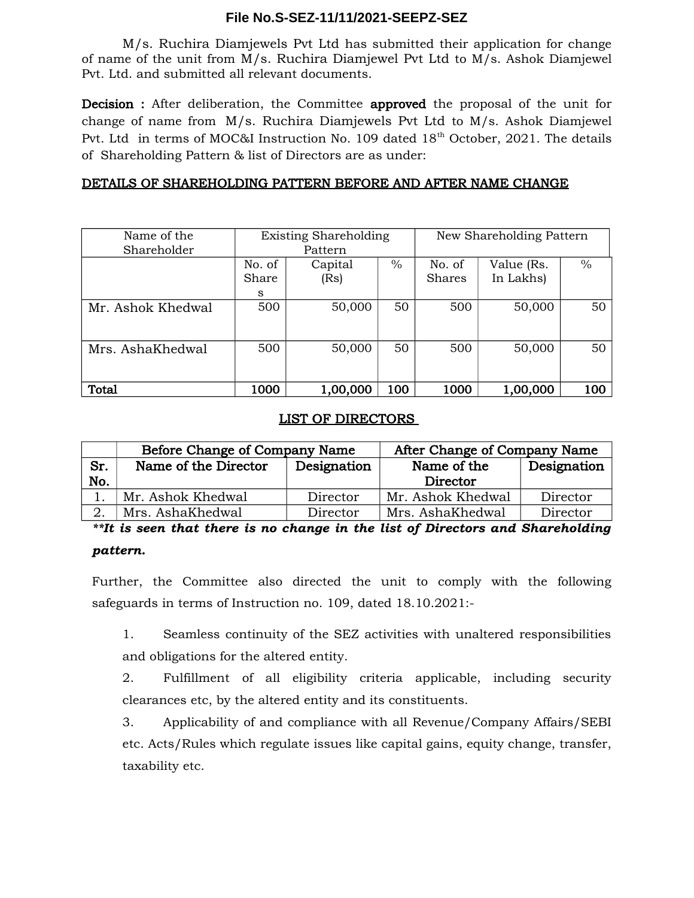M/s. Ruchira Diamjewels Pvt Ltd has submitted their application for change of name of the unit from M/s. Ruchira Diamjewel Pvt Ltd to M/s. Ashok Diamjewel Pvt. Ltd. and submitted all relevant documents.

Decision : After deliberation, the Committee approved the proposal of the unit for change of name from M/s. Ruchira Diamjewels Pvt Ltd to M/s. Ashok Diamjewel Pvt. Ltd in terms of MOC&I Instruction No. 109 dated 18<sup>th</sup> October, 2021. The details of Shareholding Pattern & list of Directors are as under:

# DETAILS OF SHAREHOLDING PATTERN BEFORE AND AFTER NAME CHANGE

| Name of the       |        | <b>Existing Shareholding</b> |      | New Shareholding Pattern |            |               |
|-------------------|--------|------------------------------|------|--------------------------|------------|---------------|
| Shareholder       |        | Pattern                      |      |                          |            |               |
|                   | No. of | Capital                      | $\%$ | No. of                   | Value (Rs. | $\frac{0}{0}$ |
|                   | Share  | (Rs)                         |      | <b>Shares</b>            | In Lakhs)  |               |
|                   | S      |                              |      |                          |            |               |
| Mr. Ashok Khedwal | 500    | 50,000                       | 50   | 500                      | 50,000     | 50            |
|                   |        |                              |      |                          |            |               |
| Mrs. AshaKhedwal  | 500    | 50,000                       | 50   | 500                      | 50,000     | 50            |
|                   |        |                              |      |                          |            |               |
| Total             | 1000   | 1,00,000                     | 100  | 1000                     | 1,00,000   | 100           |

# LIST OF DIRECTORS

|     | Before Change of Company Name |             | After Change of Company Name |             |  |
|-----|-------------------------------|-------------|------------------------------|-------------|--|
| Sr. | Name of the Director          | Designation | Name of the                  | Designation |  |
| No. |                               |             | Director                     |             |  |
|     | Mr. Ashok Khedwal             | Director    | Mr. Ashok Khedwal            | Director    |  |
|     | Mrs. AshaKhedwal              | Director    | Mrs. AshaKhedwal             | Director    |  |

*\*\*It is seen that there is no change in the list of Directors and Shareholding pattern.*

# Further, the Committee also directed the unit to comply with the following safeguards in terms of Instruction no. 109, dated 18.10.2021:-

1. Seamless continuity of the SEZ activities with unaltered responsibilities and obligations for the altered entity.

2. Fulfillment of all eligibility criteria applicable, including security clearances etc, by the altered entity and its constituents.

3. Applicability of and compliance with all Revenue/Company Affairs/SEBI etc. Acts/Rules which regulate issues like capital gains, equity change, transfer, taxability etc.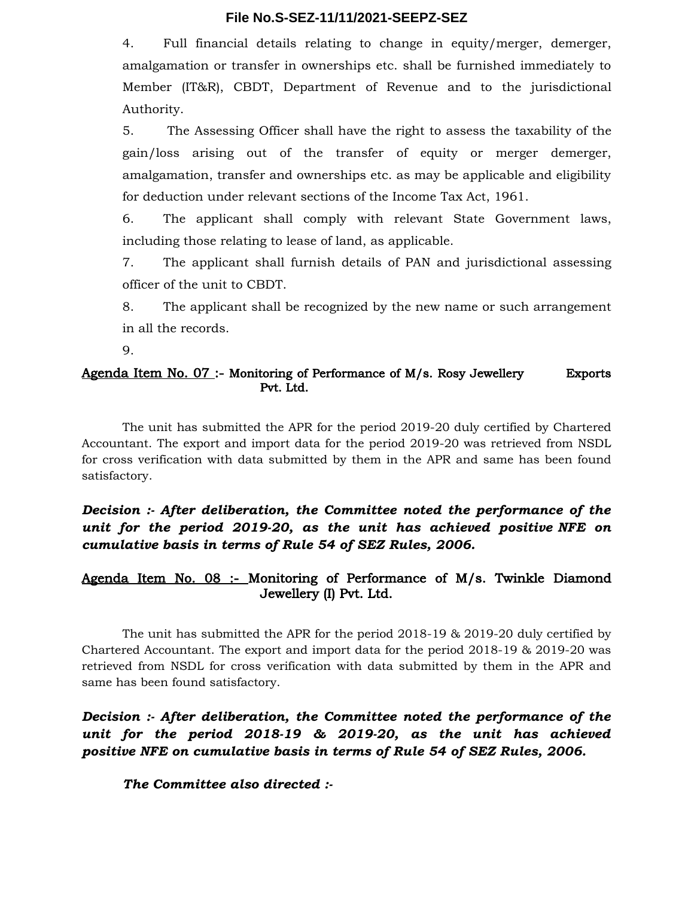4. Full financial details relating to change in equity/merger, demerger, amalgamation or transfer in ownerships etc. shall be furnished immediately to Member (IT&R), CBDT, Department of Revenue and to the jurisdictional Authority.

5. The Assessing Officer shall have the right to assess the taxability of the gain/loss arising out of the transfer of equity or merger demerger, amalgamation, transfer and ownerships etc. as may be applicable and eligibility for deduction under relevant sections of the Income Tax Act, 1961.

6. The applicant shall comply with relevant State Government laws, including those relating to lease of land, as applicable.

7. The applicant shall furnish details of PAN and jurisdictional assessing officer of the unit to CBDT.

8. The applicant shall be recognized by the new name or such arrangement in all the records.

9.

#### Agenda Item No. 07 :- Monitoring of Performance of M/s. Rosy Jewellery Exports Pvt. Ltd.

The unit has submitted the APR for the period 2019-20 duly certified by Chartered Accountant. The export and import data for the period 2019-20 was retrieved from NSDL for cross verification with data submitted by them in the APR and same has been found satisfactory.

*Decision :- After deliberation, the Committee noted the performance of the unit for the period 2019-20, as the unit has achieved positive NFE on cumulative basis in terms of Rule 54 of SEZ Rules, 2006.*

# Agenda Item No. 08 :- Monitoring of Performance of M/s. Twinkle Diamond Jewellery (I) Pvt. Ltd.

The unit has submitted the APR for the period 2018-19 & 2019-20 duly certified by Chartered Accountant. The export and import data for the period 2018-19 & 2019-20 was retrieved from NSDL for cross verification with data submitted by them in the APR and same has been found satisfactory.

*Decision :- After deliberation, the Committee noted the performance of the unit for the period 2018-19 & 2019-20, as the unit has achieved positive NFE on cumulative basis in terms of Rule 54 of SEZ Rules, 2006.*

*The Committee also directed :-*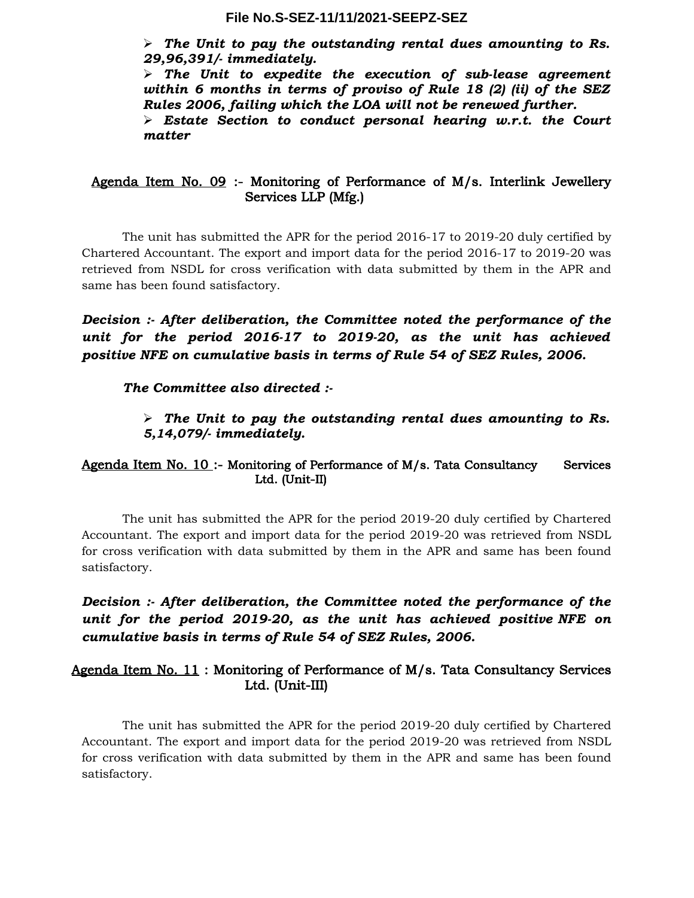*The Unit to pay the outstanding rental dues amounting to Rs. 29,96,391/- immediately.*

 *The Unit to expedite the execution of sub-lease agreement within 6 months in terms of proviso of Rule 18 (2) (ii) of the SEZ Rules 2006, failing which the LOA will not be renewed further.*

 *Estate Section to conduct personal hearing w.r.t. the Court matter*

## Agenda Item No. 09 :- Monitoring of Performance of M/s. Interlink Jewellery Services LLP (Mfg.)

The unit has submitted the APR for the period 2016-17 to 2019-20 duly certified by Chartered Accountant. The export and import data for the period 2016-17 to 2019-20 was retrieved from NSDL for cross verification with data submitted by them in the APR and same has been found satisfactory.

*Decision :- After deliberation, the Committee noted the performance of the unit for the period 2016-17 to 2019-20, as the unit has achieved positive NFE on cumulative basis in terms of Rule 54 of SEZ Rules, 2006.*

## *The Committee also directed :-*

## *The Unit to pay the outstanding rental dues amounting to Rs. 5,14,079/- immediately.*

## Agenda Item No. 10 :- Monitoring of Performance of M/s. Tata Consultancy Services Ltd. (Unit-II)

The unit has submitted the APR for the period 2019-20 duly certified by Chartered Accountant. The export and import data for the period 2019-20 was retrieved from NSDL for cross verification with data submitted by them in the APR and same has been found satisfactory.

*Decision :- After deliberation, the Committee noted the performance of the unit for the period 2019-20, as the unit has achieved positive NFE on cumulative basis in terms of Rule 54 of SEZ Rules, 2006.*

# Agenda Item No. 11 : Monitoring of Performance of M/s. Tata Consultancy Services Ltd. (Unit-III)

The unit has submitted the APR for the period 2019-20 duly certified by Chartered Accountant. The export and import data for the period 2019-20 was retrieved from NSDL for cross verification with data submitted by them in the APR and same has been found satisfactory.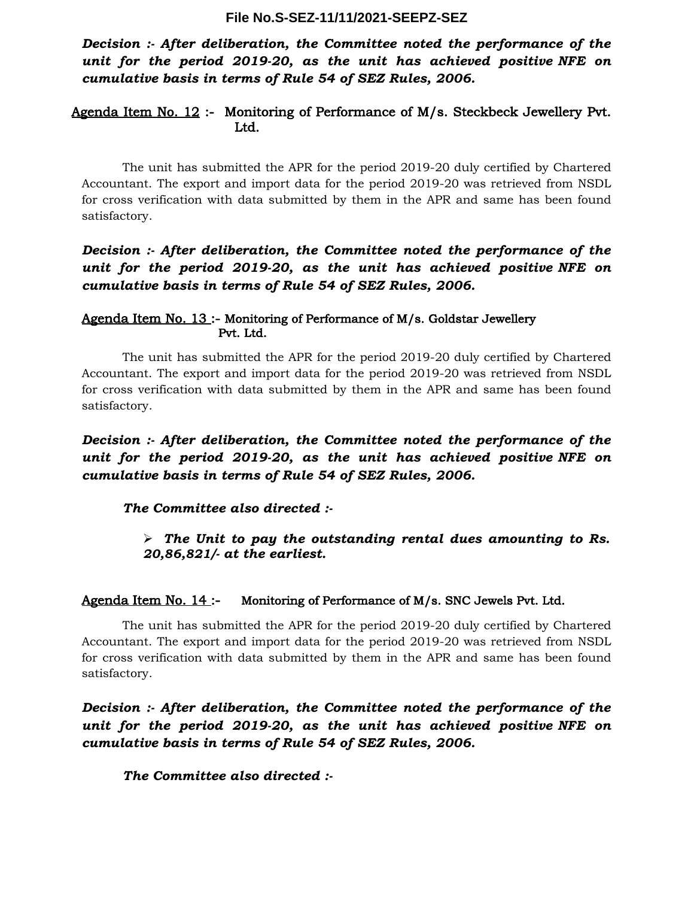*Decision :- After deliberation, the Committee noted the performance of the unit for the period 2019-20, as the unit has achieved positive NFE on cumulative basis in terms of Rule 54 of SEZ Rules, 2006.*

## Agenda Item No. 12 :- Monitoring of Performance of M/s. Steckbeck Jewellery Pvt. Ltd.

The unit has submitted the APR for the period 2019-20 duly certified by Chartered Accountant. The export and import data for the period 2019-20 was retrieved from NSDL for cross verification with data submitted by them in the APR and same has been found satisfactory.

# *Decision :- After deliberation, the Committee noted the performance of the unit for the period 2019-20, as the unit has achieved positive NFE on cumulative basis in terms of Rule 54 of SEZ Rules, 2006.*

## Agenda Item No. 13 :- Monitoring of Performance of M/s. Goldstar Jewellery Pvt. Ltd.

The unit has submitted the APR for the period 2019-20 duly certified by Chartered Accountant. The export and import data for the period 2019-20 was retrieved from NSDL for cross verification with data submitted by them in the APR and same has been found satisfactory.

# *Decision :- After deliberation, the Committee noted the performance of the unit for the period 2019-20, as the unit has achieved positive NFE on cumulative basis in terms of Rule 54 of SEZ Rules, 2006.*

## *The Committee also directed :-*

## *The Unit to pay the outstanding rental dues amounting to Rs. 20,86,821/- at the earliest.*

#### Agenda Item No. 14 :- Monitoring of Performance of M/s. SNC Jewels Pvt. Ltd.

The unit has submitted the APR for the period 2019-20 duly certified by Chartered Accountant. The export and import data for the period 2019-20 was retrieved from NSDL for cross verification with data submitted by them in the APR and same has been found satisfactory.

*Decision :- After deliberation, the Committee noted the performance of the unit for the period 2019-20, as the unit has achieved positive NFE on cumulative basis in terms of Rule 54 of SEZ Rules, 2006.*

#### *The Committee also directed :-*